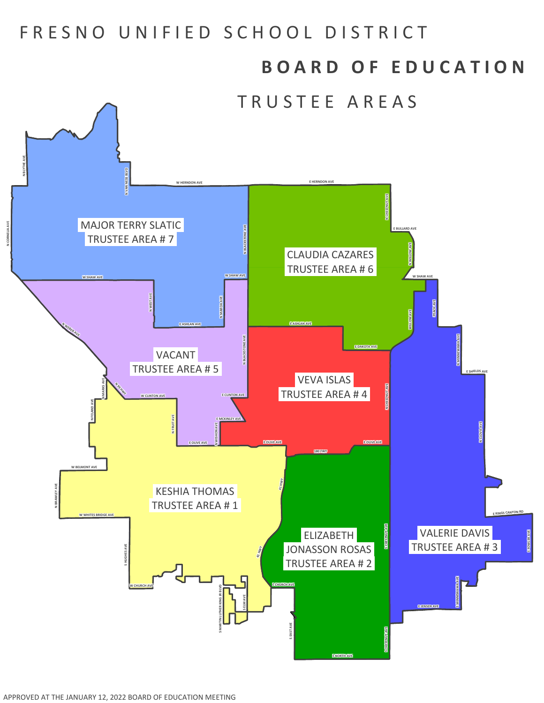## FRESNO UNIFIED SCHOOL DISTRICT

## **B O A R D O F E D U C A T I O N**

TRUSTEE AREAS